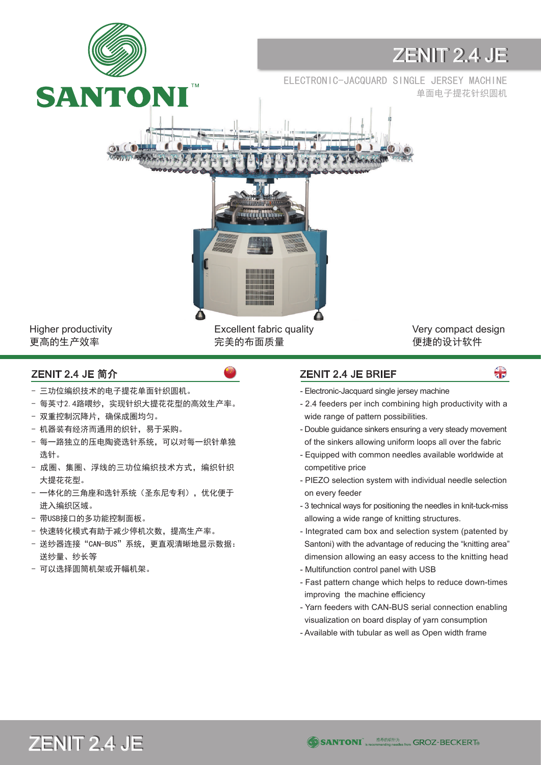

Higher productivity 更高的生产效率

Excellent fabric quality 完美的布面质量

Very compact design 便捷的设计软件

 $\bigoplus$ 

- 三功位编织技术的电子提花单面针织圆机。
- 每英寸2.4路喂纱,实现针织大提花花型的高效生产率。
- 双重控制沉降片,确保成圈均匀。
- 机器装有经济而通用的织针,易于采购。
- 每一路独立的压电陶瓷选针系统,可以对每一织针单独 选针。
- 成圈、集圈、浮线的三功位编织技术方式,编织针织 大提花花型。
- 一体化的三角座和选针系统(圣东尼专利),优化便于 进入编织区域。
- 带USB接口的多功能控制面板。
- 快速转化模式有助于减少停机次数,提高生产率。
- 送纱器连接"CAN-BUS"系统,更直观清晰地显示数据: 送纱量、纱长等
- 可以选择圆筒机架或开幅机架。

## ZENIT 2.4 JE 简介 ZENIT 2.4 JE BRIEF

- Electronic-Jacquard single jersey machine
- 2.4 feeders per inch combining high productivity with a wide range of pattern possibilities.
- Double guidance sinkers ensuring a very steady movement of the sinkers allowing uniform loops all over the fabric
- Equipped with common needles available worldwide at competitive price
- PIEZO selection system with individual needle selection on every feeder
- 3 technical ways for positioning the needles in knit-tuck-miss allowing a wide range of knitting structures.
- Integrated cam box and selection system (patented by Santoni) with the advantage of reducing the "knitting area" dimension allowing an easy access to the knitting head
- Multifunction control panel with USB
- Fast pattern change which helps to reduce down-times improving the machine efficiency
- Yarn feeders with CAN-BUS serial connection enabling visualization on board display of yarn consumption
- Available with tubular as well as Open width frame